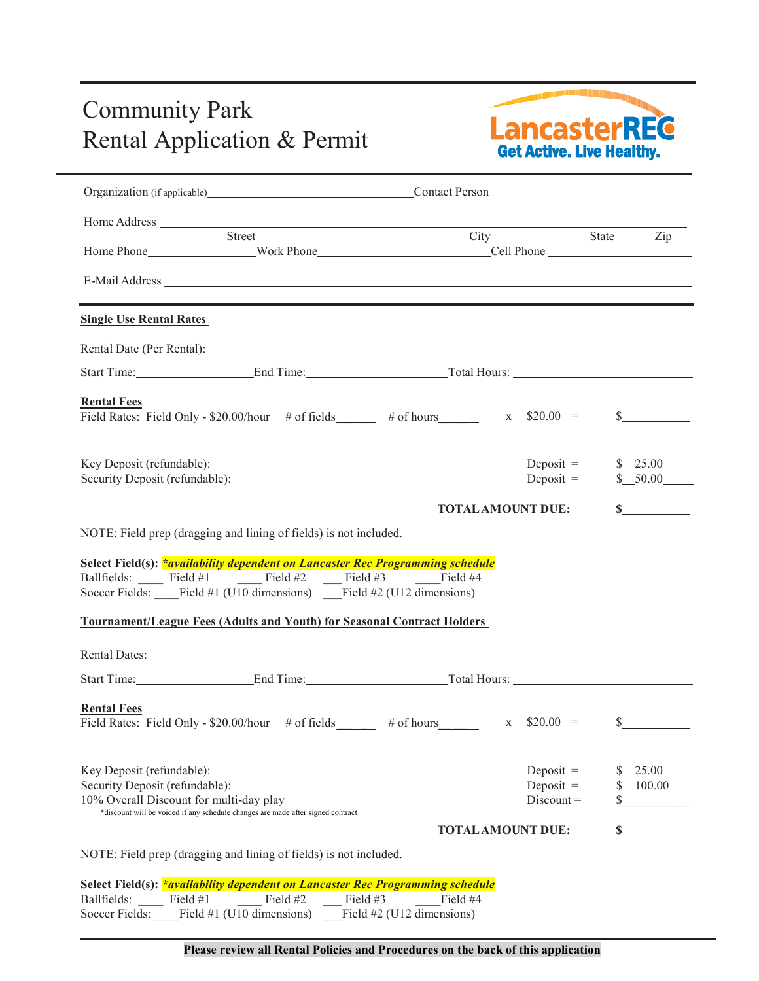## Community Park Community Park<br>Rental Application & Permit<br>Get Active. Live Healthy.



|                                                                                                                              | Organization (if applicable) Contact Person                                                                                                                                                                                        |                          |                            |                                     |
|------------------------------------------------------------------------------------------------------------------------------|------------------------------------------------------------------------------------------------------------------------------------------------------------------------------------------------------------------------------------|--------------------------|----------------------------|-------------------------------------|
|                                                                                                                              |                                                                                                                                                                                                                                    |                          |                            |                                     |
|                                                                                                                              | Street                                                                                                                                                                                                                             | City State Zip           |                            |                                     |
|                                                                                                                              |                                                                                                                                                                                                                                    |                          |                            |                                     |
| <b>Single Use Rental Rates</b>                                                                                               |                                                                                                                                                                                                                                    |                          |                            |                                     |
|                                                                                                                              |                                                                                                                                                                                                                                    |                          |                            |                                     |
|                                                                                                                              | Start Time: End Time: End Time: Total Hours:                                                                                                                                                                                       |                          |                            |                                     |
| <b>Rental Fees</b>                                                                                                           | Field Rates: Field Only - \$20.00/hour # of fields $\qquad$ # of hours $\qquad$ x \$20.00 =                                                                                                                                        |                          |                            | $\mathbb{S}$                        |
| Key Deposit (refundable):<br>Security Deposit (refundable):                                                                  |                                                                                                                                                                                                                                    |                          | Deposit $=$<br>Deposit $=$ | $\frac{\$ 25.00}{\_}$<br>$$-.50.00$ |
|                                                                                                                              |                                                                                                                                                                                                                                    | <b>TOTAL AMOUNT DUE:</b> |                            | $\mathbf S$                         |
|                                                                                                                              | Select Field(s): <i>*availability dependent on Lancaster Rec Programming schedule</i><br>Ballfields: $\frac{\text{Field #1}}{\text{Field #2}}$ $\frac{\text{Field #3}}{\text{Field #3}}$ $\frac{\text{Field #4}}{\text{Field #4}}$ |                          |                            |                                     |
|                                                                                                                              | Soccer Fields: Field #1 (U10 dimensions) Field #2 (U12 dimensions)<br><b>Tournament/League Fees (Adults and Youth) for Seasonal Contract Holders</b>                                                                               |                          |                            |                                     |
|                                                                                                                              |                                                                                                                                                                                                                                    |                          |                            |                                     |
|                                                                                                                              | Start Time: End Time: End Time: Total Hours:                                                                                                                                                                                       |                          |                            |                                     |
|                                                                                                                              | Field Rates: Field Only - \$20.00/hour # of fields $\qquad$ # of hours $\qquad$ x \$20.00 =                                                                                                                                        |                          |                            |                                     |
|                                                                                                                              |                                                                                                                                                                                                                                    |                          | Deposit $=$                | s<br>25.00                          |
|                                                                                                                              |                                                                                                                                                                                                                                    |                          | Deposit $=$                | $-100.00$                           |
|                                                                                                                              | *discount will be voided if any schedule changes are made after signed contract                                                                                                                                                    |                          | $Discount =$               | \$                                  |
| <b>Rental Fees</b><br>Key Deposit (refundable):<br>Security Deposit (refundable):<br>10% Overall Discount for multi-day play | NOTE: Field prep (dragging and lining of fields) is not included.                                                                                                                                                                  | <b>TOTAL AMOUNT DUE:</b> |                            |                                     |
|                                                                                                                              | Select Field(s): <i>*availability dependent on Lancaster Rec Programming schedule</i>                                                                                                                                              |                          |                            |                                     |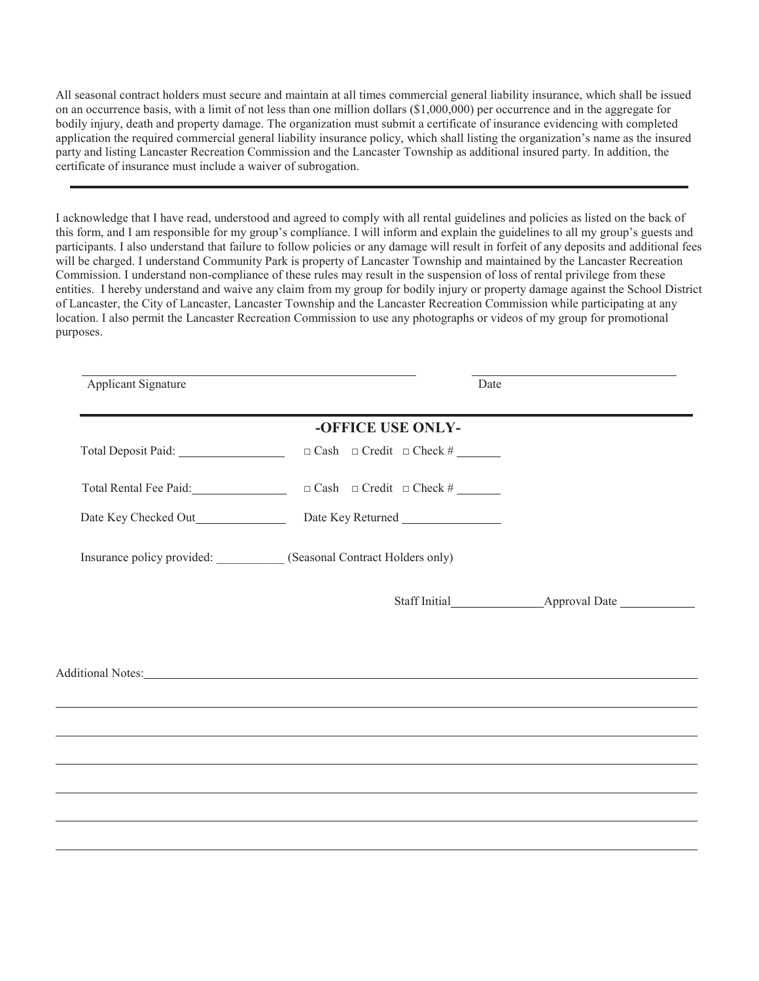All seasonal contract holders must secure and maintain at all times commercial general liability insurance, which shall be issued on an occurrence basis, with a limit of not less than one million dollars (\$1,000,000) per occurrence and in the aggregate for bodily injury, death and property damage. The organization must submit a certificate of insurance evidencing with completed application the required commercial general liability insurance policy, which shall listing the organization's name as the insured party and listing Lancaster Recreation Commission and the Lancaster Township as additional insured party. In addition, the certificate of insurance must include a waiver of subrogation.

I acknowledge that I have read, understood and agreed to comply with all rental guidelines and policies as listed on the back of this form, and I am responsible for my group's compliance. I will inform and explain the guidelines to all my group's guests and participants. I also understand that failure to follow policies or any damage will result in forfeit of any deposits and additional fees will be charged. I understand Community Park is property of Lancaster Township and maintained by the Lancaster Recreation Commission. I understand non-compliance of these rules may result in the suspension of loss of rental privilege from these entities. I hereby understand and waive any claim from my group for bodily injury or property damage against the School District of Lancaster, the City of Lancaster, Lancaster Township and the Lancaster Recreation Commission while participating at any location. I also permit the Lancaster Recreation Commission to use any photographs or videos of my group for promotional purposes.

| Applicant Signature |                                                                                  | Date |
|---------------------|----------------------------------------------------------------------------------|------|
|                     | -OFFICE USE ONLY-                                                                |      |
|                     | $\Box$ Cash $\Box$ Credit $\Box$ Check #                                         |      |
|                     |                                                                                  |      |
|                     | Date Key Returned                                                                |      |
|                     | Insurance policy provided: __________ (Seasonal Contract Holders only)           |      |
|                     |                                                                                  |      |
|                     |                                                                                  |      |
|                     |                                                                                  |      |
|                     |                                                                                  |      |
|                     | ,我们也不能会有一个人的事情。""我们的人,我们也不能会有一个人的人,我们也不能会有一个人的人,我们也不能会有一个人的人,我们也不能会有一个人的人,我们也不能会 |      |
|                     | ,我们也不会有什么?""我们的人,我们也不会有什么?""我们的人,我们也不会有什么?""我们的人,我们也不会有什么?""我们的人,我们也不会有什么?""我们的人 |      |
|                     |                                                                                  |      |
|                     |                                                                                  |      |